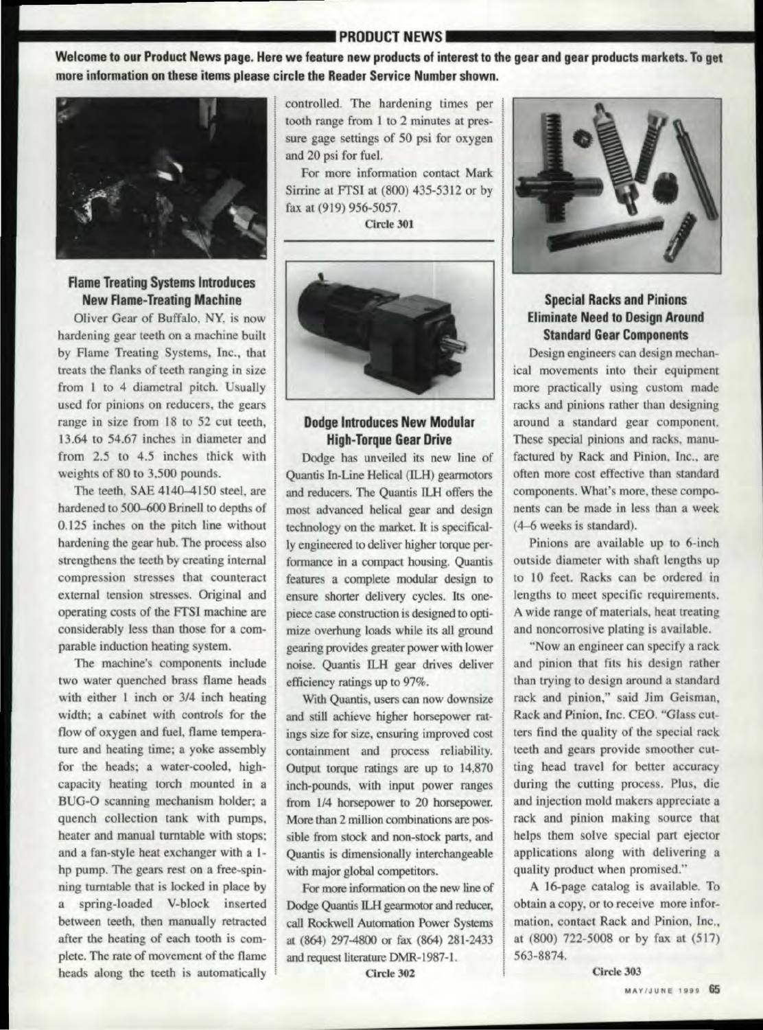# **\_\_\_\_\_\_\_\_\_\_\_\_\_ .P,RODUCTN.EWS ..**

Welcome to our Product News page. Here we feature new products of interest to the gear and gear products markets. To get more information on these items please circle the Reader Service Number shown.



## **Flame Treating Systems Introduces New Flame-Treating Machine**

Oliver Gear of Buffalo, NY, is now hardening gear teeth on a machine built by Flame Treating Systems, Inc., that treats the flanks of teeth ranging in size from 1 to 4 diametral pitch. Usually used for pinions on reducers. the gears range in size from 18 to 52 cut teeth, 13.64 to 54.67 inches in diameter and from 2.5 to 4.5 inches thick with weights of 80 to 3,500 pounds.

The teeth. SAE *4140-4150.* steel. are hardened to 500-600 Brinell to depths of  $0.125$  inches on the pitch line without hardening the gear hub. The process also strengthens the teeth by creating internal compression stresses that counteract external tension stresses. Original and operating costs of the FTSI machine are considerably less than those for a comparable induction heating system.

The machine's components include two water quenched brass flame heads with either 1 inch or 3/4 inch heating width; a cabinet with controls for the flow of oxygen and fuel, flame temperature and heating time; a yoke assembly for the heads; a water-cooled. highcapacity heating torch mounted in a BUG-O scanning mechanism holder; a quench collection tank with pumps, heater and manual turntable with stops; and a fan-style heat exchanger with a 1 hp pump. The gears rest on a free-spinning turntable that is locked in place by a spring-loaded V-block inserted between teeth, then manually retracted after the heating of each tooth is complete. The rate of movement of the flame heads along the teeth is automatically controlled. The hardening times per tooth range from 1 to 2 minutes at pressure gage settings of 50 psi for oxygen and 20 psi for fuel.

For more information contact Mark Sirrine at FrSI at (800) 435-5312 or by fax at (919) 956-5057.

Circle 301



### Dodge Introduces New Modular **High-Torque Gear Drive**

Dodge has unveiled its new line of Quantis In-Line Helical (lLH) gearmotors and reducers. The Quantis ILH offers the most advanced helical gear and design technology on the market. It is specifically engineered to deliver higher torque performance in a compact housing. Quantis features a complete modular design to ensure shorter delivery cycles. Its onepiece case construction is designed to optimize overhung loads while its all ground gearing provides greater power with lower noise. Quantis ILH gear drives deliver efficiency ratings up to 97%.

With Quantis, users can now downsize and still achieve higher horsepower ratings size for size. ensuring improved cast containment and process reliability. Output torque ratings are up to 14,870 inch-pounds, with input power ranges from  $1/4$  horsepower to 20 horsepower. More than 2 million combinations are possible from stock and non-stock parts, and Quantis is dimensionally interchangeable with major global competitors.

For more information on the new line of Dodge Quantis ILH gearmotor and reducer, call Rockwell Automation Power Systems at (864) 297-4800 or fax. (864) 281.-2433 and request literature DMR-1987-1.

Circle 302



# **Special Racks and Pinions Eliminate Need to Design Around** Standard Gear Components

Design engineers can design mechanical movements into their equipment more practically using custom made racks and pinions rather than designing around a standard gear component. These special pinions and racks, manufactured by Rack and Pinion, Inc., are often more cost effective than standard components. What's more, these components can. be made in less than a week (4-6 weeks is standard).

Pinions are available up to 6-inch outside diameter with shaft lengths up to 10 feet. Racks can be ordered in lengths to meet specific requirements. A wide range of materials, heat treating and noncorrosive plating is available.

"Now an engineer can specify a rack. and pinion that fits his design rather than trying to design around a tandard rack and pinion," said Jim Geisman, Rack and Pinion, Inc. CEO. "Glass cutters find the quality of the special rack teeth and gears provide smoother cutting head travel for better accuracy during the cutting process. Plus, die and injection mold makers appreciate a rack and pinion making source that helps them solve special part ejector applications along with delivering a quality product when promised."

A 16-page catalog is available. To obtain a copy. or to receive more information, contact Rack and Pinion, Inc., at (800) 722-5008 or by fax at (517) 563-8874.

Circle 303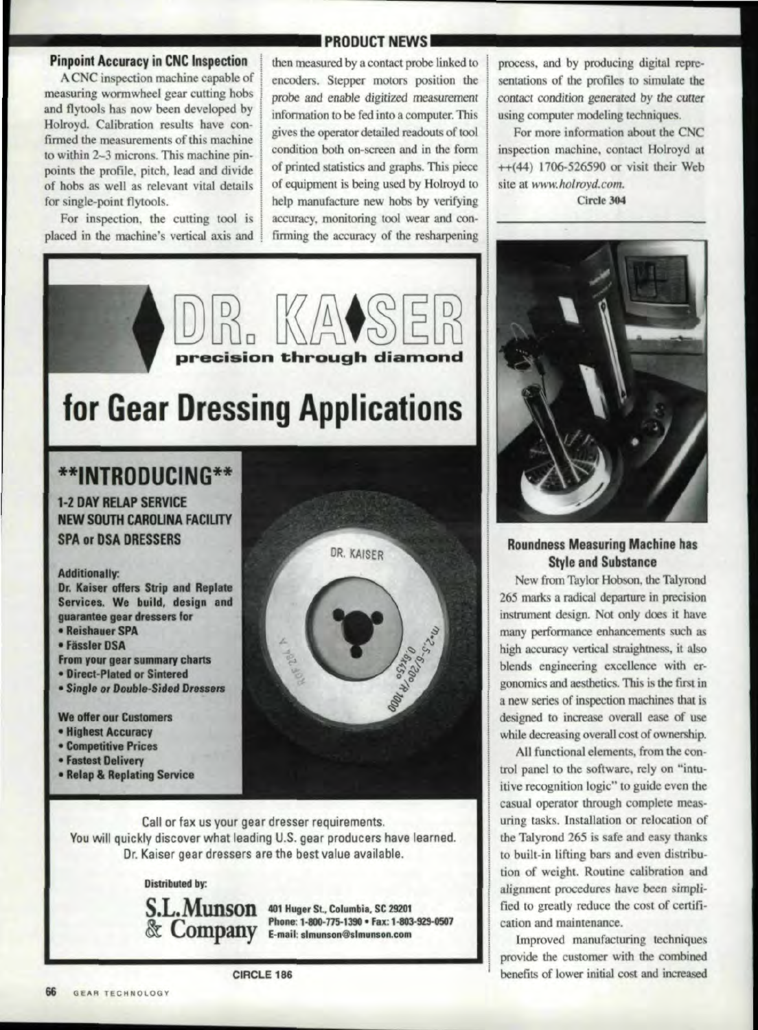### **Pinpoint Accuracy in CNC Inspection**

A CNC inspection machine capable of measuring wormwheel gear cutting hobs and flytools has now been developed by Holroyd. Calibration results have confirmed the measurements of this machine to within 2-3 microns. This machine pinpoints the profile, pitch, lead and divide of hobs as well as relevant vital details for single-point flytools.

For inspection, the cutting tool is placed in the machine's vertical axis and

### **PRODUCT NEWS**

then measured by a contact probe linked to encoders. Stepper motors position the probe and enable digitized measurement information to be fed into a computer. This gives the operator detailed readouts of tool condition both on-screen and in the form of printed statistics and graphs. This piece of equipment is being used by Holroyd to help manufacture new hobs by verifying accuracy, monitoring tool wear and confirming the accuracy of the resharpening

# ecision through diamond for Gear Dressing Applications

# **\*\*INTRODUCING\*\* 1-2 DAY RELAP SERVICE**

**NEW SOUTH CAROLINA FACILITY SPA or DSA DRESSERS** 

#### **Additionally:**

Dr. Kaiser offers Strip and Replate Services. We build, design and quarantee gear dressers for

- Reishauer SPA
- Fässler DSA
- From your gear summary charts
- **Direct-Plated or Sintered**
- Single or Double-Sided Dressers

**We offer our Customers** 

- · Highest Accuracy
- **Competitive Prices**
- Fastest Delivery
- Relap & Replating Service



Call or fax us your gear dresser requirements. You will quickly discover what leading U.S. gear producers have learned. Dr. Kaiser gear dressers are the best value available.

#### **Distributed by:**



Company Phone: 1-800-775-1390 • Fax: 1-803 Phone: 1-800-775-1390 · Fax: 1-803-929-0507

CIRCLE 186

For more information about the CNC inspection machine, contact Holroyd at ++(44) 1706-526590 or visit their Web site at www.holroyd.com.

process, and by producing digital repre-

Circle 304



## **Roundness Measuring Machine has Style and Substance**

New from Taylor Hobson, the Talyrond 265 marks a radical departure in precision instrument design. Not only does it have many performance enhancements such as high accuracy vertical straightness, it also blends engineering excellence with ergonomics and aesthetics. This is the first in a new series of inspection machines that is designed to increase overall ease of use while decreasing overall cost of ownership.

All functional elements, from the control panel to the software, rely on "intuitive recognition logic" to guide even the casual operator through complete measuring tasks. Installation or relocation of the Talyrond 265 is safe and easy thanks to built-in lifting bars and even distribution of weight. Routine calibration and alignment procedures have been simplified to greatly reduce the cost of certification and maintenance.

Improved manufacturing techniques provide the customer with the combined benefits of lower initial cost and increased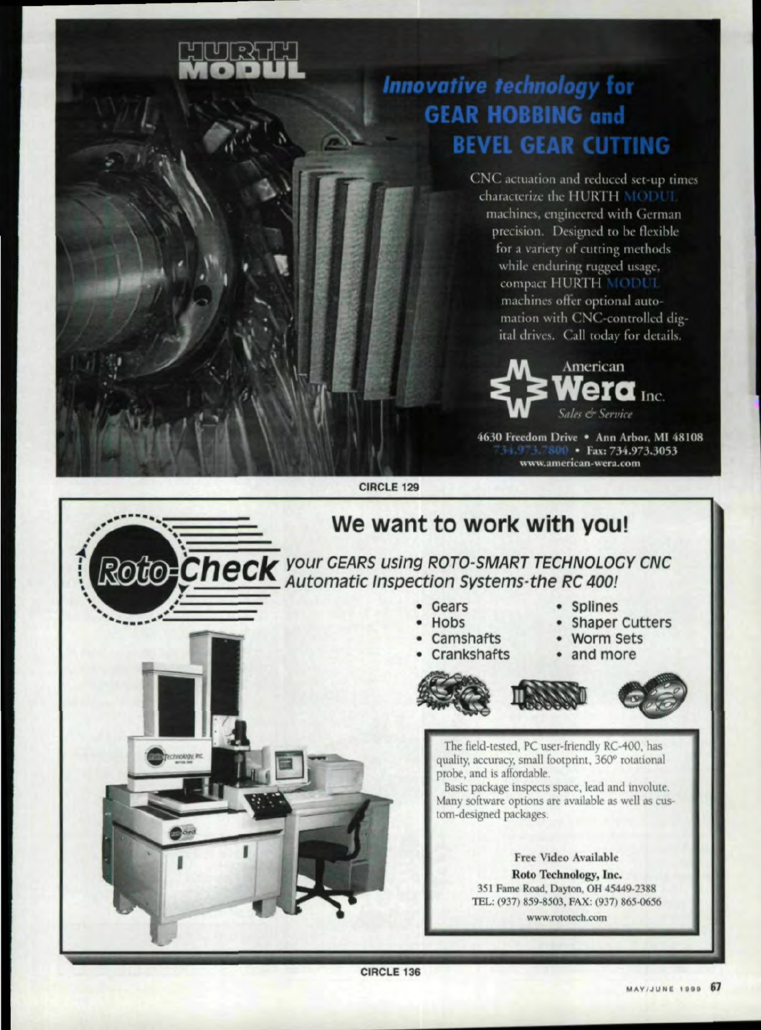

# **Innovative technology for GEAR HOBBING and BEVEL GEAR CUTTING**

CNC actuation and reduced set-up times characterize the HURTH MODUL machines, engineered with German precision. Designed to be flexible for a variety of cutting methods while enduring rugged usage, compact HURTH MODUL machines offer optional automation with CNC-controlled digital drives. Call today for details.



4630 Freedom Drive . Ann Arbor, MI 48108 3.7800 · Fax: 734.973.3053 www.american-wera.com

CIRCLE 129



CIRCLE 136